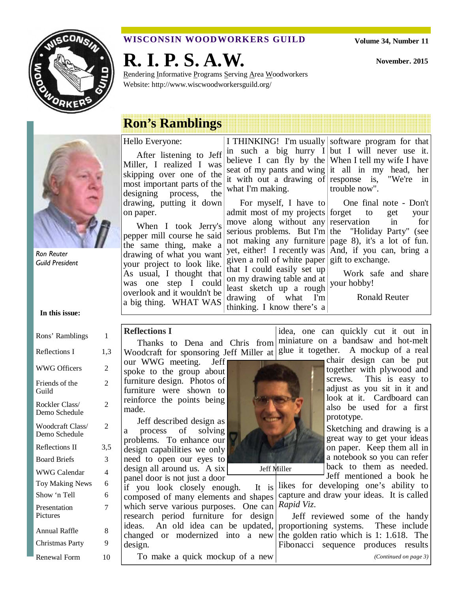

#### **WISCONSIN WOODWORKERS GUILD**

**R. I. P. S. A.W.** 

Rendering Informative Programs Serving Area Woodworkers Website: http://www.wiscwoodworkersguild.org/

**November. 2015** 

# **Ron's Ramblings**

Ron Reuter Guild President

#### **In this issue:**

| Rons' Ramblings                   | 1              |
|-----------------------------------|----------------|
| Reflections I                     | 1.3            |
| <b>WWG Officers</b>               | 2              |
| Friends of the<br>Guild           | $\overline{c}$ |
| Rockler Class/<br>Demo Schedule   | 2              |
| Woodcraft Class/<br>Demo Schedule | 2              |
| <b>Reflections II</b>             | 3,5            |
| <b>Board Briefs</b>               | 3              |
| WWG Calendar                      | 4              |
| <b>Toy Making News</b>            | 6              |
| Show 'n Tell                      | 6              |
| Presentation<br>Pictures          | 7              |
| Annual Raffle                     | 8              |
| Christmas Party                   | 9              |
| <b>Renewal Form</b>               | 10             |

## Hello Everyone:

After listening to Jeff Miller, I realized I was skipping over one of the most important parts of the designing process, the drawing, putting it down on paper.

When I took Jerry's pepper mill course he said the same thing, make a drawing of what you want your project to look like. As usual, I thought that was one step I could overlook and it wouldn't be a big thing. WHAT WAS

#### I THINKING! I'm usually software program for that in such a big hurry  $I$  but I will never use it. believe I can fly by the When I tell my wife I have seat of my pants and wing it all in my head, her it with out a drawing of response is, "We're in what I'm making.

For myself, I have to admit most of my projects forget to get your move along without any reservation in for serious problems. But I'm the "Holiday Party" (see not making any furniture page 8), it's a lot of fun. yet, either! I recently was And, if you can, bring a given a roll of white paper gift to exchange. that I could easily set up on my drawing table and at least sketch up a rough drawing of what I'm thinking. I know there's a

trouble now".

One final note - Don't

Work safe and share your hobby!

Ronald Reuter

#### **Reflections I**

Thanks to Dena and Chris from Woodcraft for sponsoring Jeff Miller at  $\left| \text{glue} \right|$  it together. A mockup of a real miniature on a bandsaw and hot-melt

our WWG meeting. Jeff spoke to the group about furniture design. Photos of furniture were shown to reinforce the points being made.

Jeff described design as a process of solving problems. To enhance our design capabilities we only need to open our eyes to design all around us. A six panel door is not just a door

if you look closely enough. It is composed of many elements and shapes which serve various purposes. One can research period furniture for design ideas. An old idea can be updated, changed or modernized into a new design.

To make a quick mockup of a new



Jeff Miller

chair design can be put together with plywood and screws. This is easy to adjust as you sit in it and look at it. Cardboard can also be used for a first prototype.

Sketching and drawing is a great way to get your ideas on paper. Keep them all in a notebook so you can refer back to them as needed. Jeff mentioned a book he

likes for developing one's ability to capture and draw your ideas. It is called *Rapid Viz*.

idea, one can quickly cut it out in

Jeff reviewed some of the handy proportioning systems. These include the golden ratio which is 1: 1.618. The Fibonacci sequence produces results *(Continued on page 3)*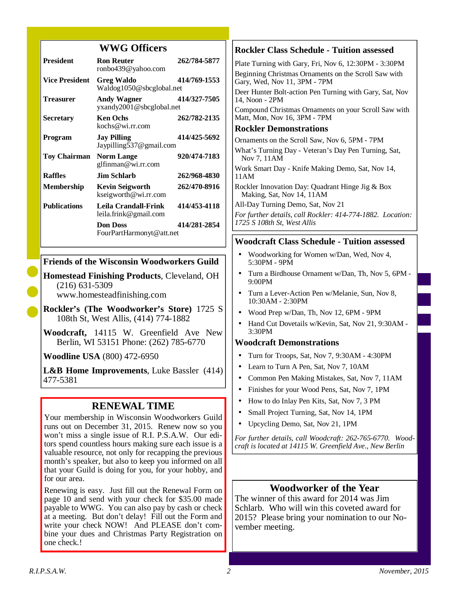#### **WWG Officers**

| <b>President</b>      | <b>Ron Reuter</b><br>ronbo439@yahoo.com        | 262/784-5877 |
|-----------------------|------------------------------------------------|--------------|
| <b>Vice President</b> | <b>Greg Waldo</b><br>Waldog1050@sbcglobal.net  | 414/769-1553 |
| <b>Treasurer</b>      | <b>Andy Wagner</b><br>yxandy2001@sbcglobal.net | 414/327-7505 |
| <b>Secretary</b>      | <b>Ken Ochs</b><br>kochs@wi.rr.com             | 262/782-2135 |
| Program               | <b>Jay Pilling</b><br>Jaypilling537@gmail.com  | 414/425-5692 |
| <b>Toy Chairman</b>   | <b>Norm Lange</b><br>glfinman@wi.rr.com        | 920/474-7183 |
| <b>Raffles</b>        | Jim Schlarb.                                   | 262/968-4830 |
| Membership            | <b>Kevin Seigworth</b><br>kseigworth@wi.rr.com | 262/470-8916 |
| <b>Publications</b>   | Leila Crandall-Frink<br>leila.frink@gmail.com  | 414/453-4118 |
|                       | <b>Don Doss</b><br>FourPartHarmonyt@att.net    | 414/281-2854 |

#### **Friends of the Wisconsin Woodworkers Guild**

**Homestead Finishing Products**, Cleveland, OH (216) 631-5309 www.homesteadfinishing.com

**Rockler's (The Woodworker's Store)** 1725 S 108th St, West Allis, (414) 774-1882

**Woodcraft,** 14115 W. Greenfield Ave New Berlin, WI 53151 Phone: (262) 785-6770

**Woodline USA** (800) 472-6950

**L&B Home Improvements**, Luke Bassler (414) 477-5381

### **RENEWAL TIME**

Your membership in Wisconsin Woodworkers Guild runs out on December 31, 2015. Renew now so you won't miss a single issue of R.I. P.S.A.W. Our editors spend countless hours making sure each issue is a valuable resource, not only for recapping the previous month's speaker, but also to keep you informed on all that your Guild is doing for you, for your hobby, and for our area.

Renewing is easy. Just fill out the Renewal Form on page 10 and send with your check for \$35.00 made payable to WWG. You can also pay by cash or check at a meeting. But don't delay! Fill out the Form and write your check NOW! And PLEASE don't combine your dues and Christmas Party Registration on one check.!

#### **Rockler Class Schedule - Tuition assessed**

Plate Turning with Gary, Fri, Nov 6, 12:30PM - 3:30PM Beginning Christmas Ornaments on the Scroll Saw with Gary, Wed, Nov 11, 3PM - 7PM

Deer Hunter Bolt-action Pen Turning with Gary, Sat, Nov 14, Noon - 2PM

Compound Christmas Ornaments on your Scroll Saw with Matt, Mon, Nov 16, 3PM - 7PM

#### **Rockler Demonstrations**

Ornaments on the Scroll Saw, Nov 6, 5PM - 7PM

What's Turning Day - Veteran's Day Pen Turning, Sat, Nov 7, 11AM

Work Smart Day - Knife Making Demo, Sat, Nov 14, 11AM

Rockler Innovation Day: Quadrant Hinge Jig & Box Making, Sat, Nov 14, 11AM

All-Day Turning Demo, Sat, Nov 21

*For further details, call Rockler: 414-774-1882. Location: 1725 S 108th St, West Allis* 

#### **Woodcraft Class Schedule - Tuition assessed**

- Woodworking for Women w/Dan, Wed, Nov 4, 5:30PM - 9PM
- Turn a Birdhouse Ornament w/Dan, Th, Nov 5, 6PM 9:00PM
- Turn a Lever-Action Pen w/Melanie, Sun, Nov 8, 10:30AM - 2:30PM
- Wood Prep w/Dan, Th, Nov 12, 6PM 9PM
- Hand Cut Dovetails w/Kevin, Sat, Nov 21, 9:30AM 3:30PM

#### **Woodcraft Demonstrations**

- Turn for Troops, Sat, Nov 7, 9:30AM 4:30PM
- Learn to Turn A Pen, Sat, Nov 7, 10AM
- Common Pen Making Mistakes, Sat, Nov 7, 11AM
- Finishes for your Wood Pens, Sat, Nov 7, 1PM
- How to do Inlay Pen Kits, Sat, Nov 7, 3 PM
- Small Project Turning, Sat, Nov 14, 1PM
- Upcycling Demo, Sat, Nov 21, 1PM

*For further details, call Woodcraft: 262-765-6770. Woodcraft is located at 14115 W. Greenfield Ave., New Berlin* 

#### **Woodworker of the Year**

The winner of this award for 2014 was Jim Schlarb. Who will win this coveted award for 2015? Please bring your nomination to our November meeting.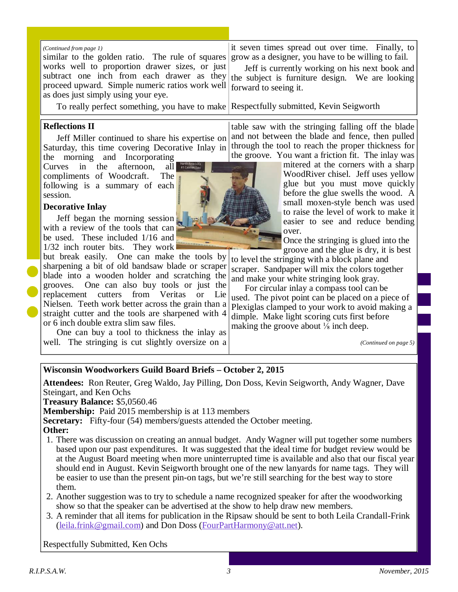similar to the golden ratio. The rule of squares works well to proportion drawer sizes, or just subtract one inch from each drawer as they proceed upward. Simple numeric ratios work well as does just simply using your eye. *(Continued from page 1)* 

To really perfect something, you have to make Respectfully submitted, Kevin Seigworth

#### **Reflections II**

Jeff Miller continued to share his expertise on Saturday, this time covering Decorative Inlay in the morning and Incorporating

Curves in the afternoon, all compliments of Woodcraft. The following is a summary of each session.

#### **Decorative Inlay**

Jeff began the morning session with a review of the tools that can be used. These included 1/16 and  $1/32$  inch router bits. They work

but break easily. One can make the tools by sharpening a bit of old bandsaw blade or scraper blade into a wooden holder and scratching the grooves. One can also buy tools or just the replacement cutters from Veritas or Lie Nielsen. Teeth work better across the grain than a straight cutter and the tools are sharpened with 4 or 6 inch double extra slim saw files.

One can buy a tool to thickness the inlay as well. The stringing is cut slightly oversize on a

it seven times spread out over time. Finally, to grow as a designer, you have to be willing to fail.

Jeff is currently working on his next book and the subject is furniture design. We are looking forward to seeing it.

table saw with the stringing falling off the blade and not between the blade and fence, then pulled through the tool to reach the proper thickness for the groove. You want a friction fit. The inlay was

> mitered at the corners with a sharp WoodRiver chisel. Jeff uses yellow glue but you must move quickly before the glue swells the wood. A small moxen-style bench was used to raise the level of work to make it easier to see and reduce bending over.

Once the stringing is glued into the groove and the glue is dry, it is best

to level the stringing with a block plane and scraper. Sandpaper will mix the colors together and make your white stringing look gray.

For circular inlay a compass tool can be used. The pivot point can be placed on a piece of Plexiglas clamped to your work to avoid making a dimple. Make light scoring cuts first before making the groove about  $\frac{1}{8}$  inch deep.

*(Continued on page 5)* 

#### **Wisconsin Woodworkers Guild Board Briefs – October 2, 2015**

**Attendees:** Ron Reuter, Greg Waldo, Jay Pilling, Don Doss, Kevin Seigworth, Andy Wagner, Dave Steingart, and Ken Ochs

**Treasury Balance:** \$5,0560.46

**Membership:** Paid 2015 membership is at 113 members

**Secretary:** Fifty-four (54) members/guests attended the October meeting.

**Other:**

- 1. There was discussion on creating an annual budget. Andy Wagner will put together some numbers based upon our past expenditures. It was suggested that the ideal time for budget review would be at the August Board meeting when more uninterrupted time is available and also that our fiscal year should end in August. Kevin Seigworth brought one of the new lanyards for name tags. They will be easier to use than the present pin-on tags, but we're still searching for the best way to store them.
- 2. Another suggestion was to try to schedule a name recognized speaker for after the woodworking show so that the speaker can be advertised at the show to help draw new members.
- 3. A reminder that all items for publication in the Ripsaw should be sent to both Leila Crandall-Frink (leila.frink@gmail.com) and Don Doss (FourPartHarmony@att.net).

Respectfully Submitted, Ken Ochs

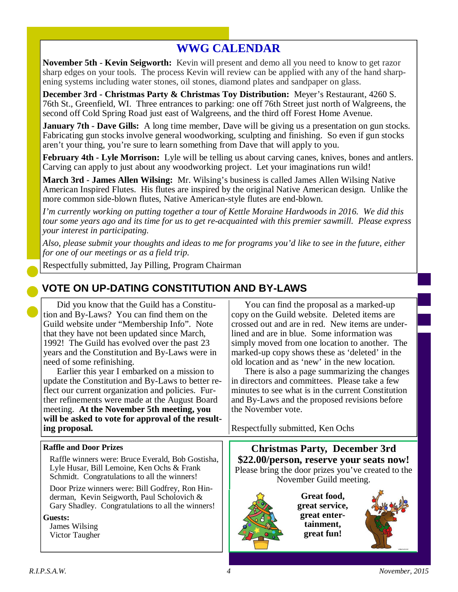## **WWG CALENDAR**

**November 5th** - **Kevin Seigworth:** Kevin will present and demo all you need to know to get razor sharp edges on your tools. The process Kevin will review can be applied with any of the hand sharpening systems including water stones, oil stones, diamond plates and sandpaper on glass.

**December 3rd - Christmas Party & Christmas Toy Distribution:** Meyer's Restaurant, 4260 S. 76th St., Greenfield, WI. Three entrances to parking: one off 76th Street just north of Walgreens, the second off Cold Spring Road just east of Walgreens, and the third off Forest Home Avenue.

**January 7th - Dave Gills:** A long time member, Dave will be giving us a presentation on gun stocks. Fabricating gun stocks involve general woodworking, sculpting and finishing. So even if gun stocks aren't your thing, you're sure to learn something from Dave that will apply to you.

**February 4th - Lyle Morrison:** Lyle will be telling us about carving canes, knives, bones and antlers. Carving can apply to just about any woodworking project. Let your imaginations run wild!

**March 3rd - James Allen Wilsing:** Mr. Wilsing's business is called James Allen Wilsing Native American Inspired Flutes. His flutes are inspired by the original Native American design. Unlike the more common side-blown flutes, Native American-style flutes are end-blown.

*I'm currently working on putting together a tour of Kettle Moraine Hardwoods in 2016. We did this tour some years ago and its time for us to get re-acquainted with this premier sawmill. Please express your interest in participating.* 

*Also, please submit your thoughts and ideas to me for programs you'd like to see in the future, either for one of our meetings or as a field trip.* 

Respectfully submitted, Jay Pilling, Program Chairman

## **VOTE ON UP-DATING CONSTITUTION AND BY-LAWS**

Did you know that the Guild has a Constitution and By-Laws? You can find them on the Guild website under "Membership Info". Note that they have not been updated since March, 1992! The Guild has evolved over the past 23 years and the Constitution and By-Laws were in need of some refinishing.

Earlier this year I embarked on a mission to update the Constitution and By-Laws to better reflect our current organization and policies. Further refinements were made at the August Board meeting. **At the November 5th meeting, you will be asked to vote for approval of the resulting proposal.**

You can find the proposal as a marked-up copy on the Guild website. Deleted items are crossed out and are in red. New items are underlined and are in blue. Some information was simply moved from one location to another. The marked-up copy shows these as 'deleted' in the old location and as 'new' in the new location.

There is also a page summarizing the changes in directors and committees. Please take a few minutes to see what is in the current Constitution and By-Laws and the proposed revisions before the November vote.

Respectfully submitted, Ken Ochs

#### **Raffle and Door Prizes**

Raffle winners were: Bruce Everald, Bob Gostisha, Lyle Husar, Bill Lemoine, Ken Ochs & Frank Schmidt. Congratulations to all the winners!

Door Prize winners were: Bill Godfrey, Ron Hinderman, Kevin Seigworth, Paul Scholovich & Gary Shadley. Congratulations to all the winners!

#### **Guests:**

James Wilsing Victor Taugher

**Christmas Party, December 3rd \$22.00/person, reserve your seats now!**  Please bring the door prizes you've created to the November Guild meeting.



**Great food, great service, great entertainment, great fun!** 

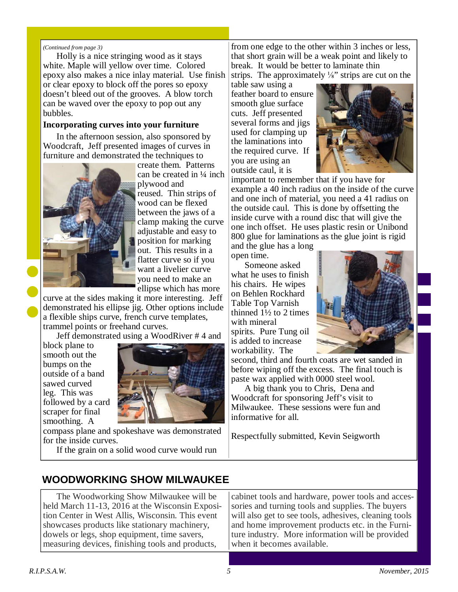#### *(Continued from page 3)*

Holly is a nice stringing wood as it stays white. Maple will yellow over time. Colored epoxy also makes a nice inlay material. Use finish or clear epoxy to block off the pores so epoxy doesn't bleed out of the grooves. A blow torch can be waved over the epoxy to pop out any bubbles.

#### **Incorporating curves into your furniture**

In the afternoon session, also sponsored by Woodcraft, Jeff presented images of curves in furniture and demonstrated the techniques to



create them. Patterns can be created in ¼ inch plywood and reused. Thin strips of wood can be flexed between the jaws of a clamp making the curve adjustable and easy to position for marking out. This results in a flatter curve so if you want a livelier curve you need to make an ellipse which has more

curve at the sides making it more interesting. Jeff demonstrated his ellipse jig. Other options include a flexible ships curve, french curve templates, trammel points or freehand curves.

Jeff demonstrated using a WoodRiver # 4 and

block plane to smooth out the bumps on the outside of a band sawed curved leg. This was followed by a card scraper for final smoothing. A



compass plane and spokeshave was demonstrated for the inside curves.

If the grain on a solid wood curve would run

from one edge to the other within 3 inches or less, that short grain will be a weak point and likely to break. It would be better to laminate thin strips. The approximately  $\frac{1}{8}$ " strips are cut on the

table saw using a feather board to ensure smooth glue surface cuts. Jeff presented several forms and jigs used for clamping up the laminations into the required curve. If you are using an outside caul, it is



important to remember that if you have for example a 40 inch radius on the inside of the curve and one inch of material, you need a 41 radius on the outside caul. This is done by offsetting the inside curve with a round disc that will give the one inch offset. He uses plastic resin or Unibond 800 glue for laminations as the glue joint is rigid

and the glue has a long open time.

Someone asked what he uses to finish his chairs. He wipes on Behlen Rockhard Table Top Varnish thinned  $1\frac{1}{2}$  to 2 times with mineral spirits. Pure Tung oil is added to increase workability. The



second, third and fourth coats are wet sanded in before wiping off the excess. The final touch is paste wax applied with 0000 steel wool.

A big thank you to Chris, Dena and Woodcraft for sponsoring Jeff's visit to Milwaukee. These sessions were fun and informative for all.

Respectfully submitted, Kevin Seigworth

## **WOODWORKING SHOW MILWAUKEE**

The Woodworking Show Milwaukee will be held March 11-13, 2016 at the Wisconsin Exposition Center in West Allis, Wisconsin. This event showcases products like stationary machinery, dowels or legs, shop equipment, time savers, measuring devices, finishing tools and products,

cabinet tools and hardware, power tools and accessories and turning tools and supplies. The buyers will also get to see tools, adhesives, cleaning tools and home improvement products etc. in the Furniture industry. More information will be provided when it becomes available.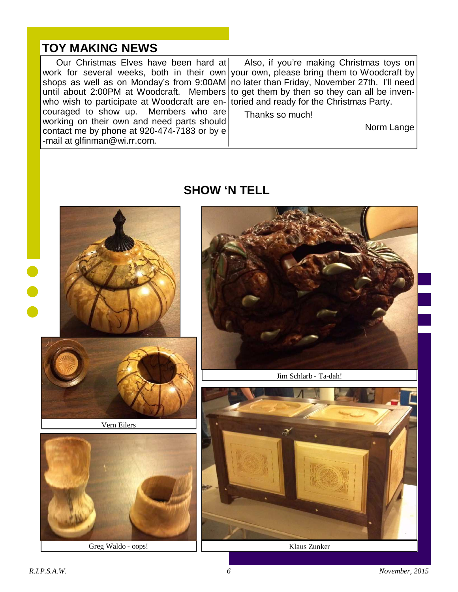## **TOY MAKING NEWS**

Our Christmas Elves have been hard at work for several weeks, both in their own your own, please bring them to Woodcraft by shops as well as on Monday's from 9:00AM until about 2:00PM at Woodcraft. Members who wish to participate at Woodcraft are encouraged to show up. Members who are working on their own and need parts should contact me by phone at 920-474-7183 or by e -mail at glfinman@wi.rr.com. Also, if you're making Christmas toys on no later than Friday, November 27th. I'll need to get them by then so they can all be inventoried and ready for the Christmas Party. Thanks so much! Norm Lange



## **SHOW 'N TELL**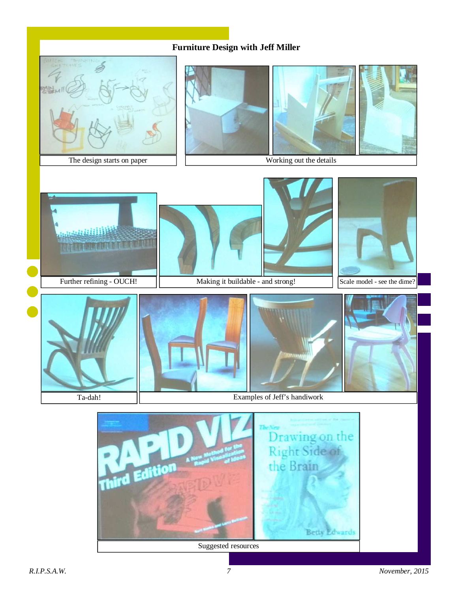#### **Furniture Design with Jeff Miller**

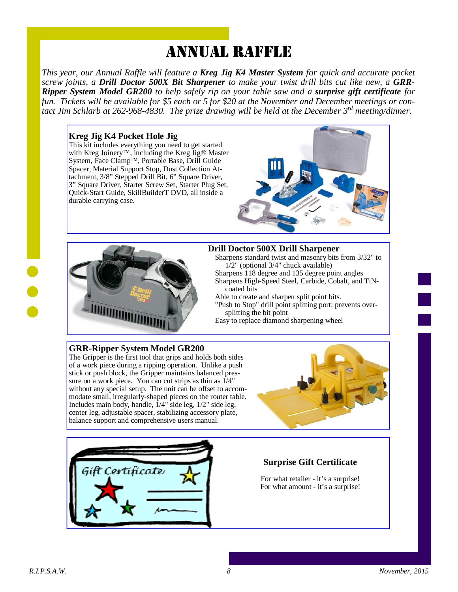# ANNUAL RAFFLE

*This year, our Annual Raffle will feature a Kreg Jig K4 Master System for quick and accurate pocket screw joints, a Drill Doctor 500X Bit Sharpener to make your twist drill bits cut like new, a GRR-Ripper System Model GR200 to help safely rip on your table saw and a surprise gift certificate for fun. Tickets will be available for \$5 each or 5 for \$20 at the November and December meetings or contact Jim Schlarb at 262-968-4830. The prize drawing will be held at the December 3rd meeting/dinner.*

#### **Kreg Jig K4 Pocket Hole Jig**

This kit includes everything you need to get started with Kreg Joinery™, including the Kreg Jig® Master System, Face Clamp™, Portable Base, Drill Guide Spacer, Material Support Stop, Dust Collection Attachment, 3/8" Stepped Drill Bit, 6" Square Driver, 3" Square Driver, Starter Screw Set, Starter Plug Set, Quick-Start Guide, SkillBuilderT DVD, all inside a durable carrying case.





#### **Drill Doctor 500X Drill Sharpener**

Sharpens standard twist and masonry bits from 3/32" to  $1/2$ " (optional 3/4" chuck available)

Sharpens 118 degree and 135 degree point angles

Sharpens High-Speed Steel, Carbide, Cobalt, and TiNcoated bits

Able to create and sharpen split point bits.

- "Push to Stop" drill point splitting port: prevents oversplitting the bit point
- Easy to replace diamond sharpening wheel

#### **GRR-Ripper System Model GR200**

The Gripper is the first tool that grips and holds both sides of a work piece during a ripping operation. Unlike a push stick or push block, the Gripper maintains balanced pressure on a work piece. You can cut strips as thin as 1/4" without any special setup. The unit can be offset to accommodate small, irregularly-shaped pieces on the router table. Includes main body, handle,  $1/4$ " side leg,  $1/2$ " side leg, center leg, adjustable spacer, stabilizing accessory plate, balance support and comprehensive users manual.





#### **Surprise Gift Certificate**

For what retailer - it's a surprise! For what amount - it's a surprise!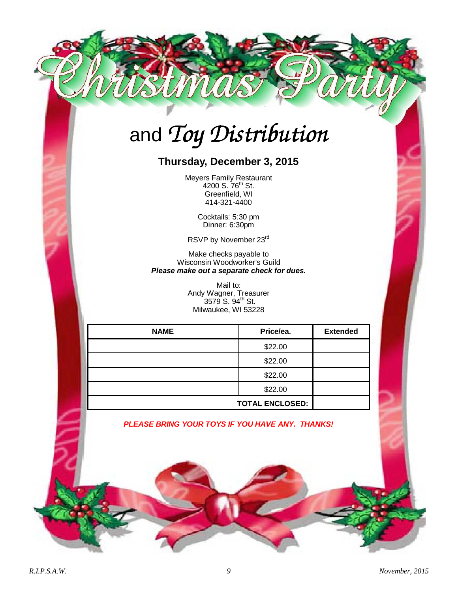# and *Toy Distribution*

## **Thursday, December 3, 2015**

Meyers Family Restaurant 4200 S. 76<sup>th</sup> St. Greenfield, WI 414-321-4400

> Cocktails: 5:30 pm Dinner: 6:30pm

RSVP by November 23rd

Make checks payable to Wisconsin Woodworker's Guild **Please make out a separate check for dues.** 

> Mail to: Andy Wagner, Treasurer  $3579$  S.  $94^{\text{th}}$  St. Milwaukee, WI 53228

| <b>NAME</b> | Price/ea.              | <b>Extended</b> |
|-------------|------------------------|-----------------|
|             | \$22.00                |                 |
|             | \$22.00                |                 |
|             | \$22.00                |                 |
|             | \$22.00                |                 |
|             | <b>TOTAL ENCLOSED:</b> |                 |

**PLEASE BRING YOUR TOYS IF YOU HAVE ANY. THANKS!**